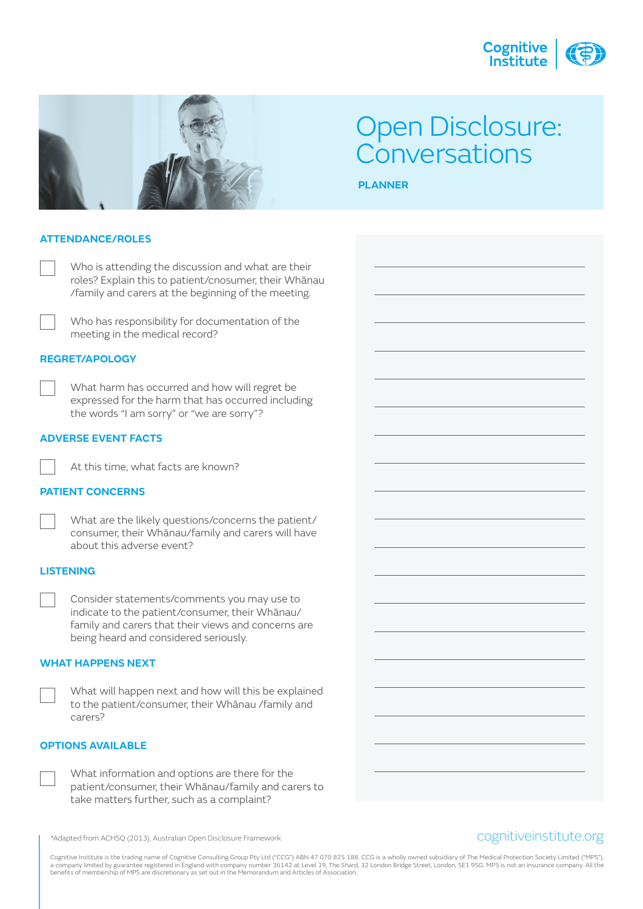



# Open Disclosure: **Conversations**

**PLANNER**

#### **ATTENDANCE/ROLES**

Who is attending the discussion and what are their roles? Explain this to patient/cnosumer, their Whānau /family and carers at the beginning of the meeting.

Who has responsibility for documentation of the meeting in the medical record?

#### **REGRET/APOLOGY**

What harm has occurred and how will regret be expressed for the harm that has occurred including the words "I am sorry" or "we are sorry"?

#### **ADVERSE EVENT FACTS**



At this time, what facts are known?

#### **PATIENT CONCERNS**

What are the likely questions/concerns the patient/ consumer, their Whānau/family and carers will have about this adverse event?

#### **LISTENING**

Consider statements/comments you may use to indicate to the patient/consumer, their Whānau/ family and carers that their views and concerns are being heard and considered seriously.

#### **WHAT HAPPENS NEXT**

What will happen next and how will this be explained to the patient/consumer, their Whānau /family and carers?

#### **OPTIONS AVAILABLE**

What information and options are there for the patient/consumer, their Whānau/family and carers to take matters further, such as a complaint?

\*Adapted from ACHSQ (2013), Australian Open Disclosure Framework

## cognitiveinstitute.org

Cognitive Institute is the trading name of Cognitive Consulting Group Pty Ltd ("CCG") ABN 47 070 825 188. CCG is a wholly owned subsidiary of The Medical Protection Society Limited ("MPS"),<br>a company limited by guarantee r